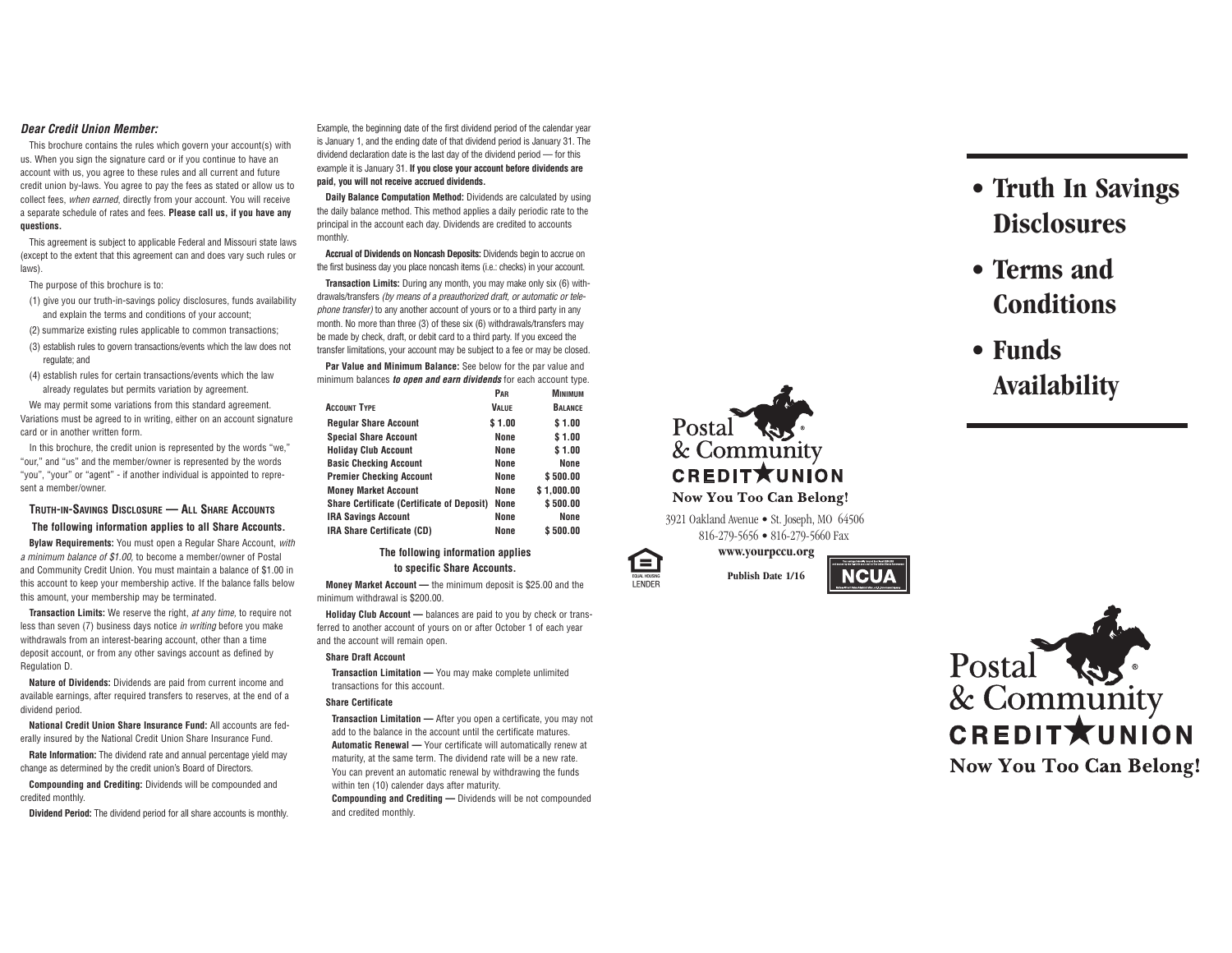### **Dear Credit Union Member:**

This brochure contains the rules which govern your account(s) with us. When you sign the signature card or if you continue to have an account with us, you agree to these rules and all current and future credit union by-laws. You agree to pay the fees as stated or allow us to collect fees, when earned, directly from your account. You will receive <sup>a</sup> separate schedule of rates and fees. **Please call us, if you have any questions.**

This agreement is subject to applicable Federal and Missouri state laws (except to the extent that this agreement can and does vary such rules or laws).

The purpose of this brochure is to:

(1) give you our truth-in-savings policy disclosures, funds availability and explain the terms and conditions of your account;

(2) summarize existing rules applicable to common transactions;

- (3) establish rules to govern transactions/events which the law does not regulate; and
- (4) establish rules for certain transactions/events which the law already regulates but permits variation by agreement.

We may permit some variations from this standard agreement. Variations must be agreed to in writing, either on an account signature card or in another written form.

In this brochure, the credit union is represented by the words "we," "our," and "us" and the member/owner is represented by the words "you", "your" or "agent" - if another individual is appointed to represent a member/owner.

# **TRUTH-IN-SAVINGS DISCLOSURE — ALL SHARE ACCOUNTS The following information applies to all Share Accounts.**

**Bylaw Requirements:** You must open <sup>a</sup> Regular Share Account, with <sup>a</sup> minimum balance of \$1.00, to become <sup>a</sup> member/owner of Postal and Community Credit Union. You must maintain <sup>a</sup> balance of \$1.00 in this account to keep your membership active. If the balance falls below this amount, your membership may be terminated.

**Transaction Limits:** We reserve the right, at any time, to require not less than seven (7) business days notice *in writing* before you make withdrawals from an interest-bearing account, other than <sup>a</sup> time deposit account, or from any other savings account as defined by Regulation D.

**Nature of Dividends:** Dividends are paid from current income and available earnings, after required transfers to reserves, at the end of <sup>a</sup> dividend period.

**National Credit Union Share Insurance Fund:** All accounts are federally insured by the National Credit Union Share Insurance Fund.

**Rate Information:** The dividend rate and annual percentage yield may change as determined by the credit union's Board of Directors.

**Compounding and Crediting:** Dividends will be compounded and credited monthly.

**Dividend Period:** The dividend period for all share accounts is monthly.

Example, the beginning date of the first dividend period of the calendar year is January 1, and the ending date of that dividend period is January 31. The dividend declaration date is the last day of the dividend period — for this example it is January 31. **If you close your account before dividends are paid, you will not receive accrued dividends.**

**Daily Balance Computation Method:** Dividends are calculated by using the daily balance method. This method applies <sup>a</sup> daily periodic rate to the principal in the account each day. Dividends are credited to accounts monthly.

**Accrual of Dividends on Noncash Deposits:** Dividends begin to accrue on the first business day you place noncash items (i.e.: checks) in your account.

**Transaction Limits:** During any month, you may make only six (6) withdrawals/transfers (by means of <sup>a</sup> preauthorized draft, or automatic or telephone transfer) to any another account of yours or to <sup>a</sup> third party in any month. No more than three (3) of these six (6) withdrawals/transfers may be made by check, draft, or debit card to <sup>a</sup> third party. If you exceed the transfer limitations, your account may be subject to <sup>a</sup> fee or may be closed.

**Par Value and Minimum Balance:** See below for the par value and minimum balances **to open and earn dividends** for each account type.

|                                                   | PAR          | <b>MINIMUM</b> |
|---------------------------------------------------|--------------|----------------|
| <b>ACCOUNT TYPE</b>                               | <b>VALUE</b> | <b>BALANCE</b> |
| <b>Regular Share Account</b>                      | \$1.00       | \$1.00         |
| <b>Special Share Account</b>                      | None         | \$1.00         |
| <b>Holiday Club Account</b>                       | None         | \$1.00         |
| <b>Basic Checking Account</b>                     | None         | <b>None</b>    |
| <b>Premier Checking Account</b>                   | None         | \$500.00       |
| <b>Money Market Account</b>                       | None         | \$1.000.00     |
| <b>Share Certificate (Certificate of Deposit)</b> | None         | \$500.00       |
| <b>IRA Savings Account</b>                        | None         | <b>None</b>    |
| IRA Share Certificate (CD)                        | None         | \$500.00       |

**The following information applies to specific Share Accounts.**

**Money Market Account —** the minimum deposit is \$25.00 and the minimum withdrawal is \$200.00.

**Holiday Club Account —** balances are paid to you by check or transferred to another account of yours on or after October 1 of each year and the account will remain open.

#### **Share Draft Account**

**Transaction Limitation —** You may make complete unlimited transactions for this account.

### **Share Certificate**

**Transaction Limitation —** After you open <sup>a</sup> certificate, you may not add to the balance in the account until the certificate matures. **Automatic Renewal —** Your certificate will automatically renew at maturity, at the same term. The dividend rate will be <sup>a</sup> new rate. You can prevent an automatic renewal by withdrawing the funds within ten (10) calender days after maturity. **Compounding and Crediting —** Dividends will be not compounded

and credited monthly.



3921 Oakland Avenue • St. Joseph, MO 64506 816-279-5656 • 816-279-5660 Fax

**www.yourpccu.org**

**Publish Date 1/16**

**NCUA** 



- **• Terms and Conditions**
- **• Funds Availability**